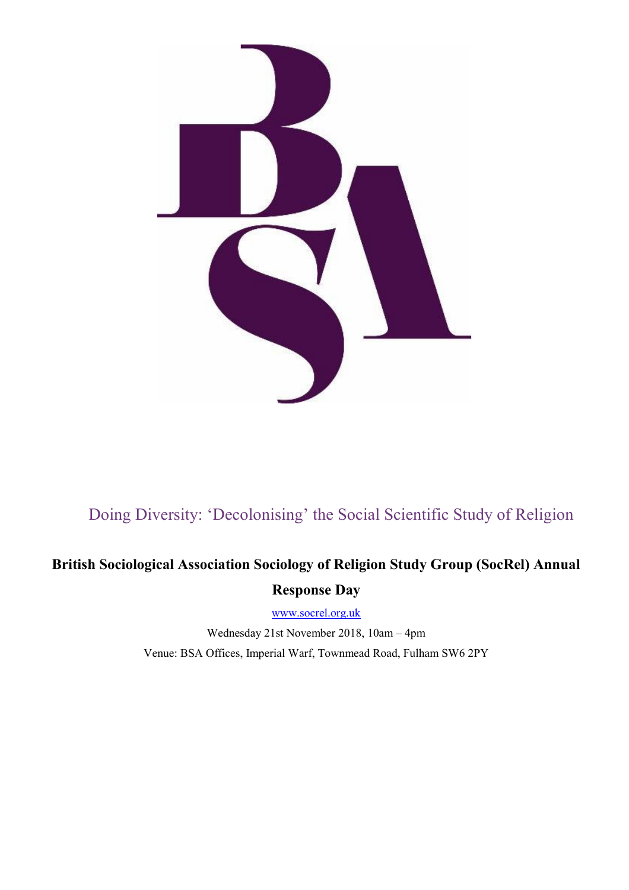

#### Doing Diversity: 'Decolonising' the Social Scientific Study of Religion

# **British Sociological Association Sociology of Religion Study Group (SocRel) Annual Response Day**

[www.socrel.org.uk](http://www.socrel.org.uk/)

Wednesday 21st November 2018, 10am – 4pm Venue: BSA Offices, Imperial Warf, Townmead Road, Fulham SW6 2PY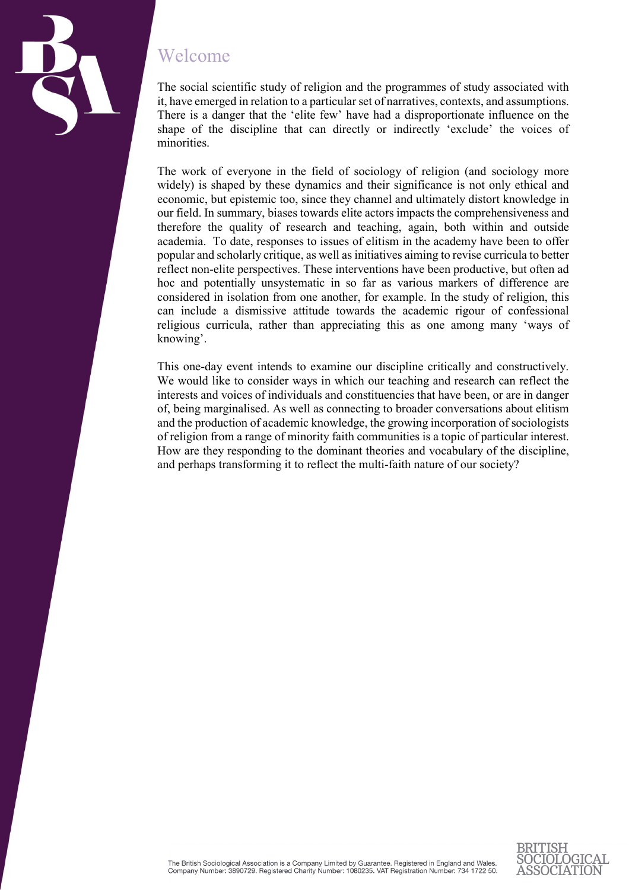

#### Welcome

The social scientific study of religion and the programmes of study associated with it, have emerged in relation to a particular set of narratives, contexts, and assumptions. There is a danger that the 'elite few' have had a disproportionate influence on the shape of the discipline that can directly or indirectly 'exclude' the voices of minorities.

The work of everyone in the field of sociology of religion (and sociology more widely) is shaped by these dynamics and their significance is not only ethical and economic, but epistemic too, since they channel and ultimately distort knowledge in our field. In summary, biases towards elite actors impacts the comprehensiveness and therefore the quality of research and teaching, again, both within and outside academia. To date, responses to issues of elitism in the academy have been to offer popular and scholarly critique, as well as initiatives aiming to revise curricula to better reflect non-elite perspectives. These interventions have been productive, but often ad hoc and potentially unsystematic in so far as various markers of difference are considered in isolation from one another, for example. In the study of religion, this can include a dismissive attitude towards the academic rigour of confessional religious curricula, rather than appreciating this as one among many 'ways of knowing'.

This one-day event intends to examine our discipline critically and constructively. We would like to consider ways in which our teaching and research can reflect the interests and voices of individuals and constituencies that have been, or are in danger of, being marginalised. As well as connecting to broader conversations about elitism and the production of academic knowledge, the growing incorporation of sociologists of religion from a range of minority faith communities is a topic of particular interest. How are they responding to the dominant theories and vocabulary of the discipline, and perhaps transforming it to reflect the multi-faith nature of our society?



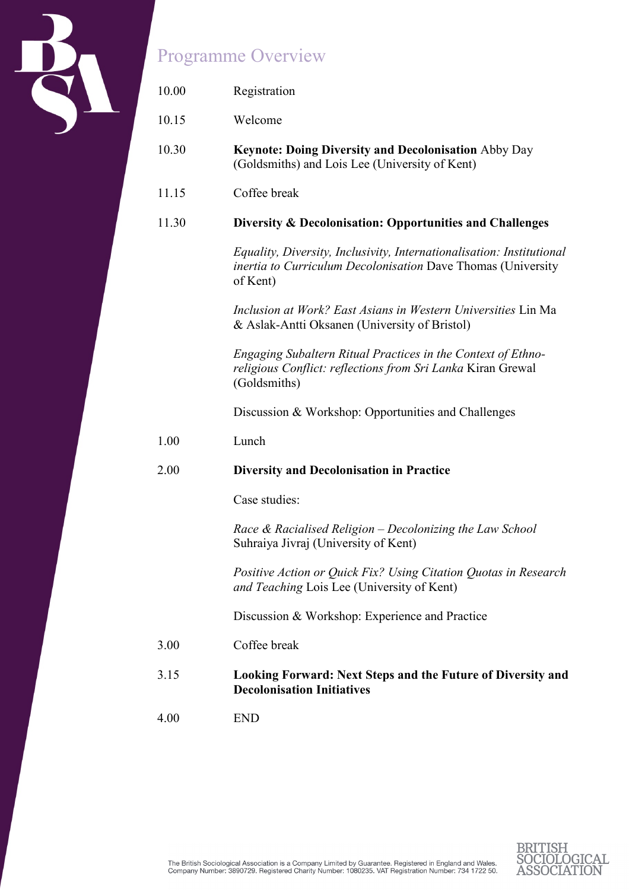

# Programme Overview

| 10.00 | Registration                                                                                                                                             |
|-------|----------------------------------------------------------------------------------------------------------------------------------------------------------|
| 10.15 | Welcome                                                                                                                                                  |
| 10.30 | Keynote: Doing Diversity and Decolonisation Abby Day<br>(Goldsmiths) and Lois Lee (University of Kent)                                                   |
| 11.15 | Coffee break                                                                                                                                             |
| 11.30 | Diversity & Decolonisation: Opportunities and Challenges                                                                                                 |
|       | Equality, Diversity, Inclusivity, Internationalisation: Institutional<br><i>inertia to Curriculum Decolonisation Dave Thomas (University</i><br>of Kent) |
|       | Inclusion at Work? East Asians in Western Universities Lin Ma<br>& Aslak-Antti Oksanen (University of Bristol)                                           |
|       | Engaging Subaltern Ritual Practices in the Context of Ethno-<br>religious Conflict: reflections from Sri Lanka Kiran Grewal<br>(Goldsmiths)              |
|       | Discussion & Workshop: Opportunities and Challenges                                                                                                      |
| 1.00  | Lunch                                                                                                                                                    |
| 2.00  | <b>Diversity and Decolonisation in Practice</b>                                                                                                          |
|       | Case studies:                                                                                                                                            |
|       | Race & Racialised Religion - Decolonizing the Law School<br>Suhraiya Jivraj (University of Kent)                                                         |
|       | Positive Action or Quick Fix? Using Citation Quotas in Research<br>and Teaching Lois Lee (University of Kent)                                            |
|       | Discussion & Workshop: Experience and Practice                                                                                                           |
| 3.00  | Coffee break                                                                                                                                             |
| 3.15  | <b>Looking Forward: Next Steps and the Future of Diversity and</b><br><b>Decolonisation Initiatives</b>                                                  |
| 4.00  | <b>END</b>                                                                                                                                               |
|       |                                                                                                                                                          |

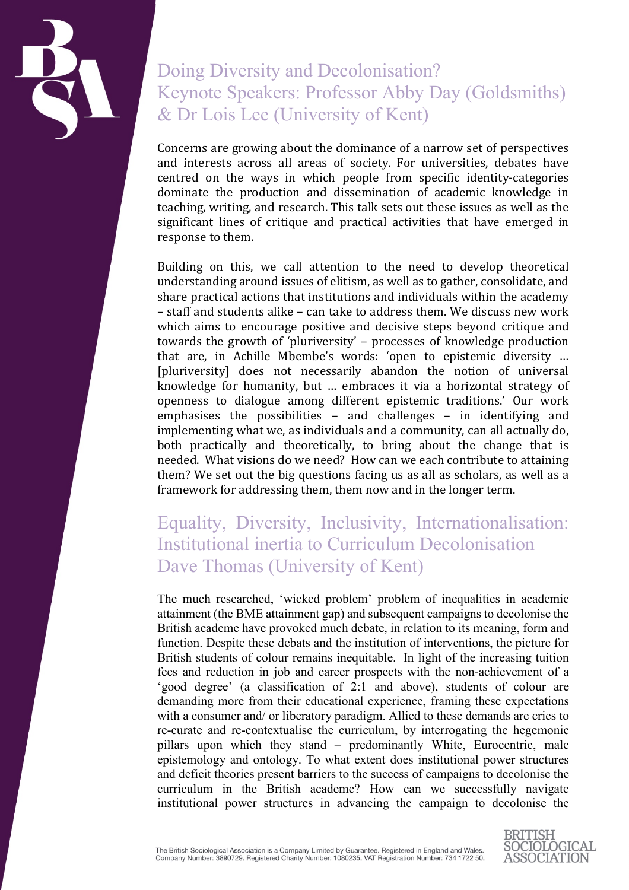

# Doing Diversity and Decolonisation? Keynote Speakers: Professor Abby Day (Goldsmiths) & Dr Lois Lee (University of Kent)

Concerns are growing about the dominance of a narrow set of perspectives and interests across all areas of society. For universities, debates have centred on the ways in which people from specific identity-categories dominate the production and dissemination of academic knowledge in teaching, writing, and research. This talk sets out these issues as well as the significant lines of critique and practical activities that have emerged in response to them.

Building on this, we call attention to the need to develop theoretical understanding around issues of elitism, as well as to gather, consolidate, and share practical actions that institutions and individuals within the academy – staff and students alike – can take to address them. We discuss new work which aims to encourage positive and decisive steps beyond critique and towards the growth of 'pluriversity' – processes of knowledge production that are, in Achille Mbembe's words: 'open to epistemic diversity … [pluriversity] does not necessarily abandon the notion of universal knowledge for humanity, but … embraces it via a horizontal strategy of openness to dialogue among different epistemic traditions.' Our work emphasises the possibilities – and challenges – in identifying and implementing what we, as individuals and a community, can all actually do, both practically and theoretically, to bring about the change that is needed. What visions do we need? How can we each contribute to attaining them? We set out the big questions facing us as all as scholars, as well as a framework for addressing them, them now and in the longer term.

### Equality, Diversity, Inclusivity, Internationalisation: Institutional inertia to Curriculum Decolonisation Dave Thomas (University of Kent)

The much researched, 'wicked problem' problem of inequalities in academic attainment (the BME attainment gap) and subsequent campaigns to decolonise the British academe have provoked much debate, in relation to its meaning, form and function. Despite these debats and the institution of interventions, the picture for British students of colour remains inequitable. In light of the increasing tuition fees and reduction in job and career prospects with the non-achievement of a 'good degree' (a classification of 2:1 and above), students of colour are demanding more from their educational experience, framing these expectations with a consumer and/ or liberatory paradigm. Allied to these demands are cries to re-curate and re-contextualise the curriculum, by interrogating the hegemonic pillars upon which they stand – predominantly White, Eurocentric, male epistemology and ontology. To what extent does institutional power structures and deficit theories present barriers to the success of campaigns to decolonise the curriculum in the British academe? How can we successfully navigate institutional power structures in advancing the campaign to decolonise the

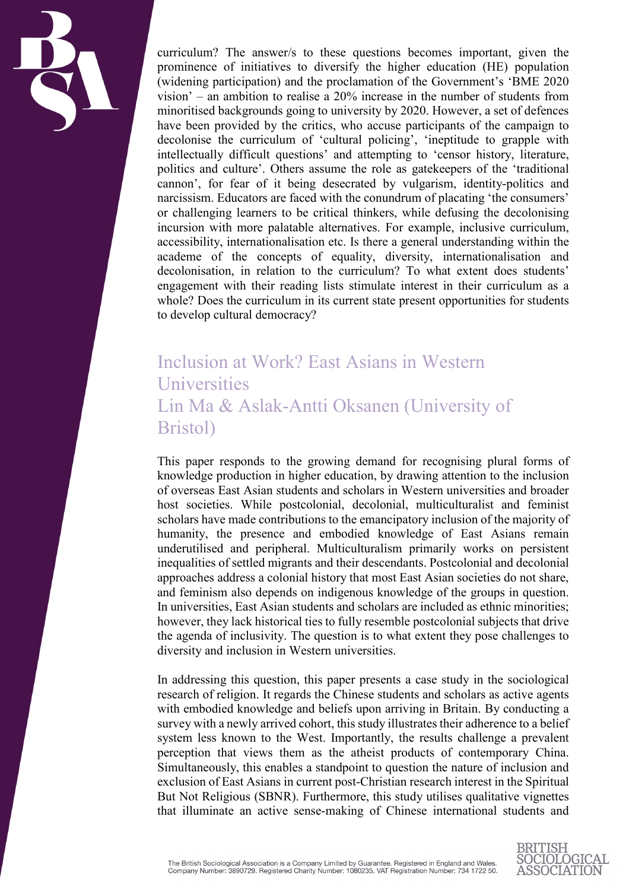

curriculum? The answer/s to these questions becomes important, given the prominence of initiatives to diversify the higher education (HE) population (widening participation) and the proclamation of the Government's 'BME 2020 vision' – an ambition to realise a 20% increase in the number of students from minoritised backgrounds going to university by 2020. However, a set of defences have been provided by the critics, who accuse participants of the campaign to decolonise the curriculum of 'cultural policing', 'ineptitude to grapple with intellectually difficult questions' and attempting to 'censor history, literature, politics and culture'. Others assume the role as gatekeepers of the 'traditional cannon', for fear of it being desecrated by vulgarism, identity-politics and narcissism. Educators are faced with the conundrum of placating 'the consumers' or challenging learners to be critical thinkers, while defusing the decolonising incursion with more palatable alternatives. For example, inclusive curriculum, accessibility, internationalisation etc. Is there a general understanding within the academe of the concepts of equality, diversity, internationalisation and decolonisation, in relation to the curriculum? To what extent does students' engagement with their reading lists stimulate interest in their curriculum as a whole? Does the curriculum in its current state present opportunities for students to develop cultural democracy?

### Inclusion at Work? East Asians in Western Universities Lin Ma & Aslak-Antti Oksanen (University of Bristol)

This paper responds to the growing demand for recognising plural forms of knowledge production in higher education, by drawing attention to the inclusion of overseas East Asian students and scholars in Western universities and broader host societies. While postcolonial, decolonial, multiculturalist and feminist scholars have made contributions to the emancipatory inclusion of the majority of humanity, the presence and embodied knowledge of East Asians remain underutilised and peripheral. Multiculturalism primarily works on persistent inequalities of settled migrants and their descendants. Postcolonial and decolonial approaches address a colonial history that most East Asian societies do not share, and feminism also depends on indigenous knowledge of the groups in question. In universities, East Asian students and scholars are included as ethnic minorities; however, they lack historical ties to fully resemble postcolonial subjects that drive the agenda of inclusivity. The question is to what extent they pose challenges to diversity and inclusion in Western universities.

In addressing this question, this paper presents a case study in the sociological research of religion. It regards the Chinese students and scholars as active agents with embodied knowledge and beliefs upon arriving in Britain. By conducting a survey with a newly arrived cohort, this study illustrates their adherence to a belief system less known to the West. Importantly, the results challenge a prevalent perception that views them as the atheist products of contemporary China. Simultaneously, this enables a standpoint to question the nature of inclusion and exclusion of East Asians in current post-Christian research interest in the Spiritual But Not Religious (SBNR). Furthermore, this study utilises qualitative vignettes that illuminate an active sense-making of Chinese international students and

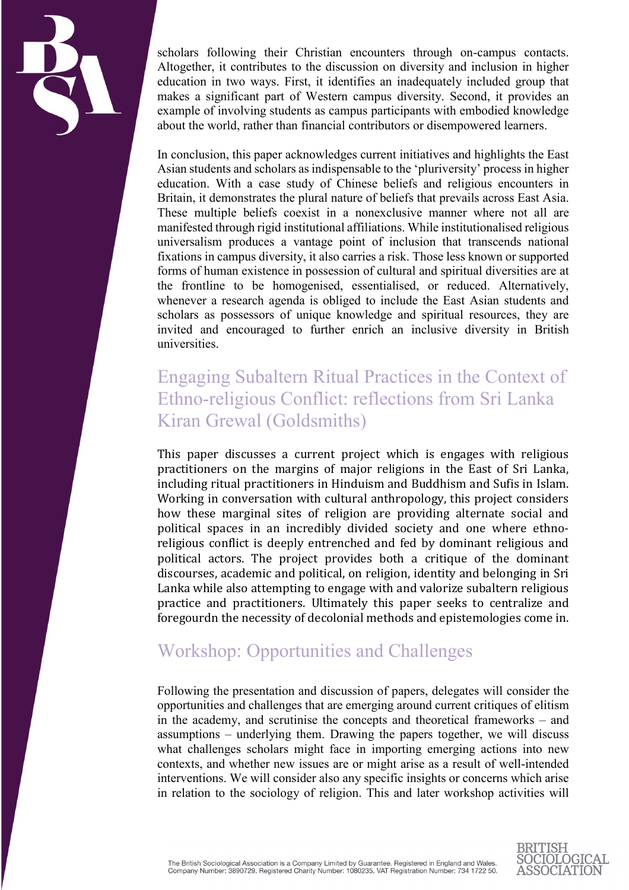

scholars following their Christian encounters through on-campus contacts. Altogether, it contributes to the discussion on diversity and inclusion in higher education in two ways. First, it identifies an inadequately included group that makes a significant part of Western campus diversity. Second, it provides an example of involving students as campus participants with embodied knowledge about the world, rather than financial contributors or disempowered learners.

In conclusion, this paper acknowledges current initiatives and highlights the East Asian students and scholars as indispensable to the 'pluriversity' process in higher education. With a case study of Chinese beliefs and religious encounters in Britain, it demonstrates the plural nature of beliefs that prevails across East Asia. These multiple beliefs coexist in a nonexclusive manner where not all are manifested through rigid institutional affiliations. While institutionalised religious universalism produces a vantage point of inclusion that transcends national fixations in campus diversity, it also carries a risk. Those less known or supported forms of human existence in possession of cultural and spiritual diversities are at the frontline to be homogenised, essentialised, or reduced. Alternatively, whenever a research agenda is obliged to include the East Asian students and scholars as possessors of unique knowledge and spiritual resources, they are invited and encouraged to further enrich an inclusive diversity in British universities.

# Engaging Subaltern Ritual Practices in the Context of Ethno-religious Conflict: reflections from Sri Lanka Kiran Grewal (Goldsmiths)

This paper discusses a current project which is engages with religious practitioners on the margins of major religions in the East of Sri Lanka, including ritual practitioners in Hinduism and Buddhism and Sufis in Islam. Working in conversation with cultural anthropology, this project considers how these marginal sites of religion are providing alternate social and political spaces in an incredibly divided society and one where ethnoreligious conflict is deeply entrenched and fed by dominant religious and political actors. The project provides both a critique of the dominant discourses, academic and political, on religion, identity and belonging in Sri Lanka while also attempting to engage with and valorize subaltern religious practice and practitioners. Ultimately this paper seeks to centralize and foregourdn the necessity of decolonial methods and epistemologies come in.

# Workshop: Opportunities and Challenges

Following the presentation and discussion of papers, delegates will consider the opportunities and challenges that are emerging around current critiques of elitism in the academy, and scrutinise the concepts and theoretical frameworks – and assumptions – underlying them. Drawing the papers together, we will discuss what challenges scholars might face in importing emerging actions into new contexts, and whether new issues are or might arise as a result of well-intended interventions. We will consider also any specific insights or concerns which arise in relation to the sociology of religion. This and later workshop activities will

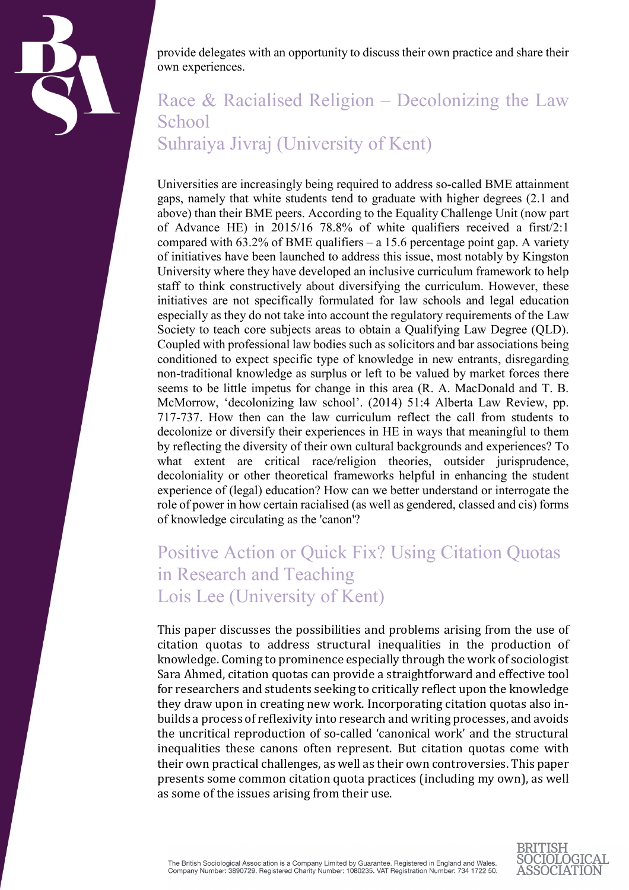

provide delegates with an opportunity to discuss their own practice and share their own experiences.

# Race & Racialised Religion – Decolonizing the Law **School** Suhraiya Jivraj (University of Kent)

Universities are increasingly being required to address so-called BME attainment gaps, namely that white students tend to graduate with higher degrees (2.1 and above) than their BME peers. According to the Equality Challenge Unit (now part of Advance HE) in 2015/16 78.8% of white qualifiers received a first/2:1 compared with  $63.2\%$  of BME qualifiers – a 15.6 percentage point gap. A variety of initiatives have been launched to address this issue, most notably by Kingston University where they have developed an inclusive curriculum framework to help staff to think constructively about diversifying the curriculum. However, these initiatives are not specifically formulated for law schools and legal education especially as they do not take into account the regulatory requirements of the Law Society to teach core subjects areas to obtain a Qualifying Law Degree (QLD). Coupled with professional law bodies such as solicitors and bar associations being conditioned to expect specific type of knowledge in new entrants, disregarding non-traditional knowledge as surplus or left to be valued by market forces there seems to be little impetus for change in this area (R. A. MacDonald and T. B. McMorrow, 'decolonizing law school'. (2014) 51:4 Alberta Law Review, pp. 717-737. How then can the law curriculum reflect the call from students to decolonize or diversify their experiences in HE in ways that meaningful to them by reflecting the diversity of their own cultural backgrounds and experiences? To what extent are critical race/religion theories, outsider jurisprudence, decoloniality or other theoretical frameworks helpful in enhancing the student experience of (legal) education? How can we better understand or interrogate the role of power in how certain racialised (as well as gendered, classed and cis) forms of knowledge circulating as the 'canon'?

# Positive Action or Quick Fix? Using Citation Quotas in Research and Teaching Lois Lee (University of Kent)

This paper discusses the possibilities and problems arising from the use of citation quotas to address structural inequalities in the production of knowledge. Coming to prominence especially through the work of sociologist Sara Ahmed, citation quotas can provide a straightforward and effective tool for researchers and students seeking to critically reflect upon the knowledge they draw upon in creating new work. Incorporating citation quotas also inbuilds a process of reflexivity into research and writing processes, and avoids the uncritical reproduction of so-called 'canonical work' and the structural inequalities these canons often represent. But citation quotas come with their own practical challenges, as well as their own controversies. This paper presents some common citation quota practices (including my own), as well as some of the issues arising from their use.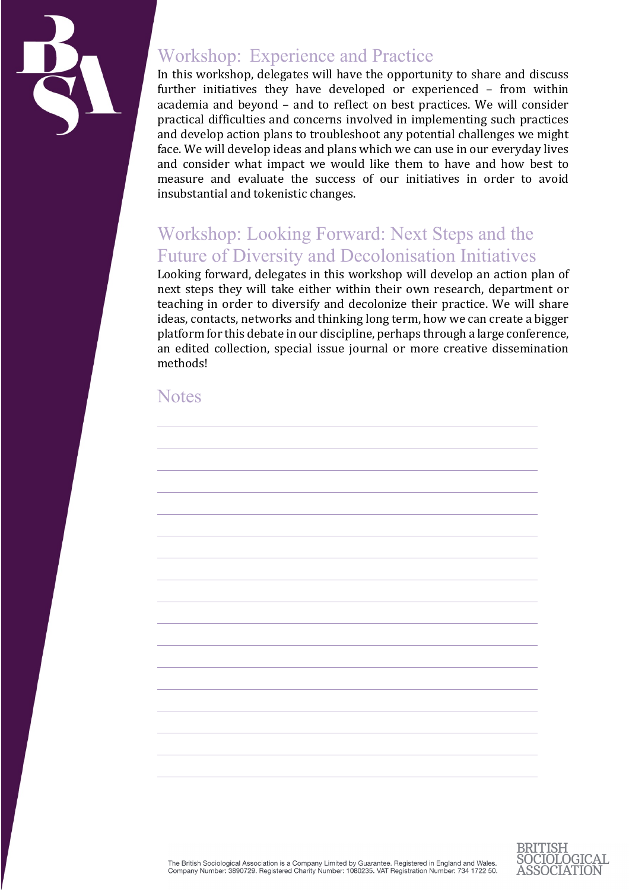

### Workshop: Experience and Practice

In this workshop, delegates will have the opportunity to share and discuss further initiatives they have developed or experienced – from within academia and beyond – and to reflect on best practices. We will consider practical difficulties and concerns involved in implementing such practices and develop action plans to troubleshoot any potential challenges we might face. We will develop ideas and plans which we can use in our everyday lives and consider what impact we would like them to have and how best to measure and evaluate the success of our initiatives in order to avoid insubstantial and tokenistic changes.

# Workshop: Looking Forward: Next Steps and the Future of Diversity and Decolonisation Initiatives

Looking forward, delegates in this workshop will develop an action plan of next steps they will take either within their own research, department or teaching in order to diversify and decolonize their practice. We will share ideas, contacts, networks and thinking long term, how we can create a bigger platform for this debate in our discipline, perhaps through a large conference, an edited collection, special issue journal or more creative dissemination methods!

#### **Notes**